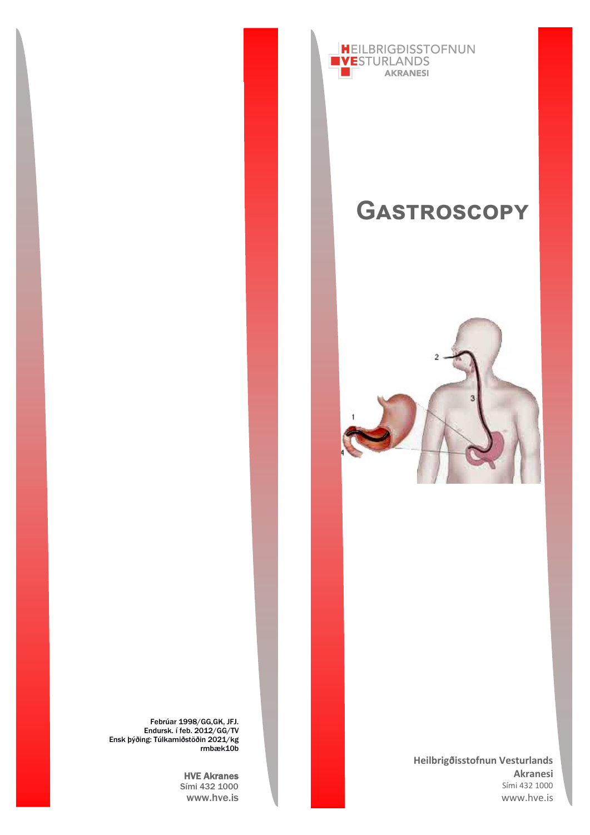

# **Gastroscopy**



**Heilbrigðisstofnun Vesturlands Akranesi** Sími 432 1000 www.hve.is

Febrúar 1998/GG,GK, JFJ. Endursk. í feb. 2012/GG/TV Ensk þýðing: Túlkamiðstöðin 2021/kg rmbæk10b

> HVE Akranes Sími 432 1000 www.hve.is